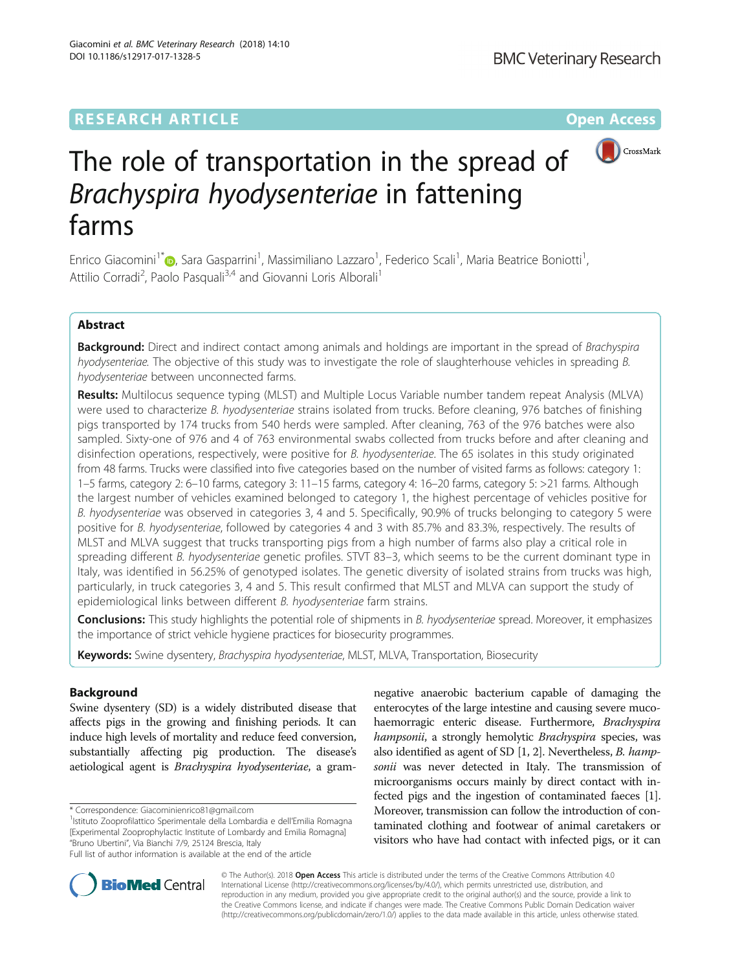## **RESEARCH ARTICLE External Structure Community Community Community Community Community Community Community Community**



# The role of transportation in the spread of Brachyspira hyodysenteriae in fattening farms

Enrico Giacomini<sup>1\*</sup>®[,](http://orcid.org/0000-0002-1486-7946) Sara Gasparrini<sup>1</sup>, Massimiliano Lazzaro<sup>1</sup>, Federico Scali<sup>1</sup>, Maria Beatrice Boniotti<sup>1</sup> , Attilio Corradi<sup>2</sup>, Paolo Pasquali<sup>3,4</sup> and Giovanni Loris Alborali<sup>1</sup>

## Abstract

Background: Direct and indirect contact among animals and holdings are important in the spread of Brachyspira hyodysenteriae. The objective of this study was to investigate the role of slaughterhouse vehicles in spreading B. hyodysenteriae between unconnected farms.

Results: Multilocus sequence typing (MLST) and Multiple Locus Variable number tandem repeat Analysis (MLVA) were used to characterize B. hyodysenteriae strains isolated from trucks. Before cleaning, 976 batches of finishing pigs transported by 174 trucks from 540 herds were sampled. After cleaning, 763 of the 976 batches were also sampled. Sixty-one of 976 and 4 of 763 environmental swabs collected from trucks before and after cleaning and disinfection operations, respectively, were positive for B. hyodysenteriae. The 65 isolates in this study originated from 48 farms. Trucks were classified into five categories based on the number of visited farms as follows: category 1: 1–5 farms, category 2: 6–10 farms, category 3: 11–15 farms, category 4: 16–20 farms, category 5: >21 farms. Although the largest number of vehicles examined belonged to category 1, the highest percentage of vehicles positive for B. hyodysenteriae was observed in categories 3, 4 and 5. Specifically, 90.9% of trucks belonging to category 5 were positive for B. hyodysenteriae, followed by categories 4 and 3 with 85.7% and 83.3%, respectively. The results of MLST and MLVA suggest that trucks transporting pigs from a high number of farms also play a critical role in spreading different B. hyodysenteriae genetic profiles. STVT 83-3, which seems to be the current dominant type in Italy, was identified in 56.25% of genotyped isolates. The genetic diversity of isolated strains from trucks was high, particularly, in truck categories 3, 4 and 5. This result confirmed that MLST and MLVA can support the study of epidemiological links between different B. hyodysenteriae farm strains.

**Conclusions:** This study highlights the potential role of shipments in B. hyodysenteriae spread. Moreover, it emphasizes the importance of strict vehicle hygiene practices for biosecurity programmes.

Keywords: Swine dysentery, Brachyspira hyodysenteriae, MLST, MLVA, Transportation, Biosecurity

## Background

Swine dysentery (SD) is a widely distributed disease that affects pigs in the growing and finishing periods. It can induce high levels of mortality and reduce feed conversion, substantially affecting pig production. The disease's aetiological agent is Brachyspira hyodysenteriae, a gram-

\* Correspondence: [Giacominienrico81@gmail.com](mailto:Giacominienrico81@gmail.com) <sup>1</sup>

negative anaerobic bacterium capable of damaging the enterocytes of the large intestine and causing severe mucohaemorragic enteric disease. Furthermore, Brachyspira hampsonii, a strongly hemolytic Brachyspira species, was also identified as agent of SD [[1, 2](#page-5-0)]. Nevertheless, B. hampsonii was never detected in Italy. The transmission of microorganisms occurs mainly by direct contact with infected pigs and the ingestion of contaminated faeces [[1](#page-5-0)]. Moreover, transmission can follow the introduction of contaminated clothing and footwear of animal caretakers or visitors who have had contact with infected pigs, or it can



© The Author(s). 2018 Open Access This article is distributed under the terms of the Creative Commons Attribution 4.0 International License [\(http://creativecommons.org/licenses/by/4.0/](http://creativecommons.org/licenses/by/4.0/)), which permits unrestricted use, distribution, and reproduction in any medium, provided you give appropriate credit to the original author(s) and the source, provide a link to the Creative Commons license, and indicate if changes were made. The Creative Commons Public Domain Dedication waiver [\(http://creativecommons.org/publicdomain/zero/1.0/](http://creativecommons.org/publicdomain/zero/1.0/)) applies to the data made available in this article, unless otherwise stated.

<sup>&</sup>lt;sup>1</sup>Istituto Zooprofilattico Sperimentale della Lombardia e dell'Emilia Romagna [Experimental Zooprophylactic Institute of Lombardy and Emilia Romagna] "Bruno Ubertini", Via Bianchi 7/9, 25124 Brescia, Italy

Full list of author information is available at the end of the article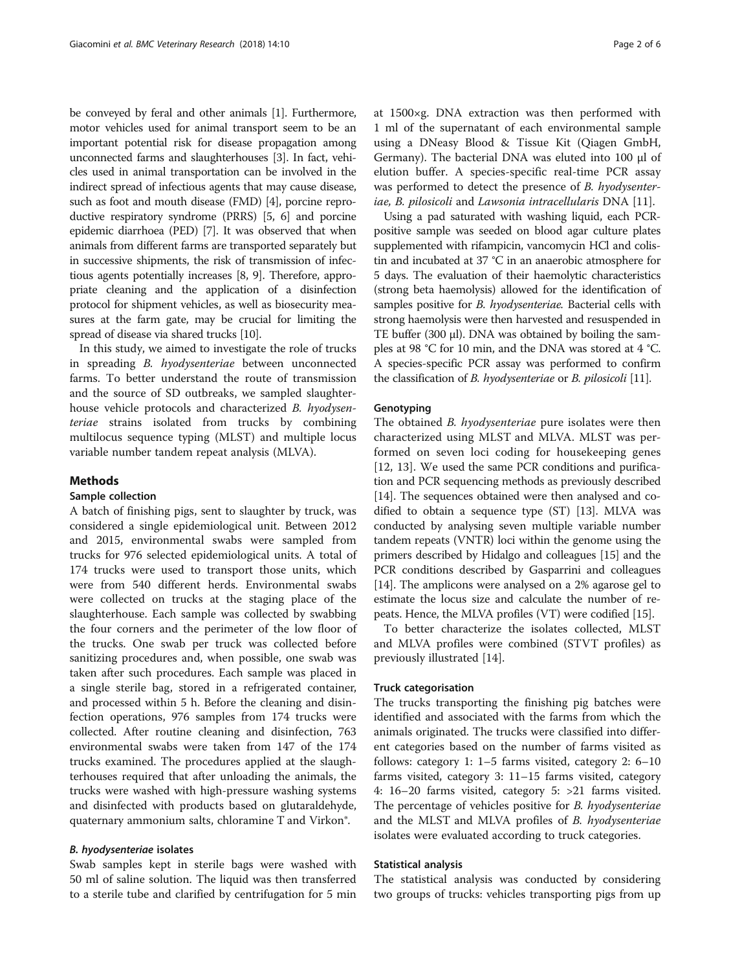be conveyed by feral and other animals [\[1\]](#page-5-0). Furthermore, motor vehicles used for animal transport seem to be an important potential risk for disease propagation among unconnected farms and slaughterhouses [\[3](#page-5-0)]. In fact, vehicles used in animal transportation can be involved in the indirect spread of infectious agents that may cause disease, such as foot and mouth disease (FMD) [[4](#page-5-0)], porcine reproductive respiratory syndrome (PRRS) [\[5, 6](#page-5-0)] and porcine epidemic diarrhoea (PED) [\[7](#page-5-0)]. It was observed that when animals from different farms are transported separately but in successive shipments, the risk of transmission of infectious agents potentially increases [[8](#page-5-0), [9\]](#page-5-0). Therefore, appropriate cleaning and the application of a disinfection protocol for shipment vehicles, as well as biosecurity measures at the farm gate, may be crucial for limiting the spread of disease via shared trucks [\[10](#page-5-0)].

In this study, we aimed to investigate the role of trucks in spreading B. hyodysenteriae between unconnected farms. To better understand the route of transmission and the source of SD outbreaks, we sampled slaughterhouse vehicle protocols and characterized B. hyodysenteriae strains isolated from trucks by combining multilocus sequence typing (MLST) and multiple locus variable number tandem repeat analysis (MLVA).

## **Methods**

## Sample collection

A batch of finishing pigs, sent to slaughter by truck, was considered a single epidemiological unit. Between 2012 and 2015, environmental swabs were sampled from trucks for 976 selected epidemiological units. A total of 174 trucks were used to transport those units, which were from 540 different herds. Environmental swabs were collected on trucks at the staging place of the slaughterhouse. Each sample was collected by swabbing the four corners and the perimeter of the low floor of the trucks. One swab per truck was collected before sanitizing procedures and, when possible, one swab was taken after such procedures. Each sample was placed in a single sterile bag, stored in a refrigerated container, and processed within 5 h. Before the cleaning and disinfection operations, 976 samples from 174 trucks were collected. After routine cleaning and disinfection, 763 environmental swabs were taken from 147 of the 174 trucks examined. The procedures applied at the slaughterhouses required that after unloading the animals, the trucks were washed with high-pressure washing systems and disinfected with products based on glutaraldehyde, quaternary ammonium salts, chloramine T and Virkon®.

#### B. hyodysenteriae isolates

Swab samples kept in sterile bags were washed with 50 ml of saline solution. The liquid was then transferred to a sterile tube and clarified by centrifugation for 5 min at 1500×g. DNA extraction was then performed with 1 ml of the supernatant of each environmental sample using a DNeasy Blood & Tissue Kit (Qiagen GmbH, Germany). The bacterial DNA was eluted into 100 μl of elution buffer. A species-specific real-time PCR assay was performed to detect the presence of B. hyodysenteriae, B. pilosicoli and Lawsonia intracellularis DNA [[11\]](#page-5-0).

Using a pad saturated with washing liquid, each PCRpositive sample was seeded on blood agar culture plates supplemented with rifampicin, vancomycin HCl and colistin and incubated at 37 °C in an anaerobic atmosphere for 5 days. The evaluation of their haemolytic characteristics (strong beta haemolysis) allowed for the identification of samples positive for *B. hyodysenteriae*. Bacterial cells with strong haemolysis were then harvested and resuspended in TE buffer (300 μl). DNA was obtained by boiling the samples at 98 °C for 10 min, and the DNA was stored at 4 °C. A species-specific PCR assay was performed to confirm the classification of B. hyodysenteriae or B. pilosicoli [\[11](#page-5-0)].

## **Genotyping**

The obtained *B. hyodysenteriae* pure isolates were then characterized using MLST and MLVA. MLST was performed on seven loci coding for housekeeping genes [[12, 13\]](#page-5-0). We used the same PCR conditions and purification and PCR sequencing methods as previously described [[14](#page-5-0)]. The sequences obtained were then analysed and codified to obtain a sequence type (ST) [[13](#page-5-0)]. MLVA was conducted by analysing seven multiple variable number tandem repeats (VNTR) loci within the genome using the primers described by Hidalgo and colleagues [\[15\]](#page-5-0) and the PCR conditions described by Gasparrini and colleagues [[14](#page-5-0)]. The amplicons were analysed on a 2% agarose gel to estimate the locus size and calculate the number of repeats. Hence, the MLVA profiles (VT) were codified [[15](#page-5-0)].

To better characterize the isolates collected, MLST and MLVA profiles were combined (STVT profiles) as previously illustrated [\[14](#page-5-0)].

#### Truck categorisation

The trucks transporting the finishing pig batches were identified and associated with the farms from which the animals originated. The trucks were classified into different categories based on the number of farms visited as follows: category 1: 1–5 farms visited, category 2: 6–10 farms visited, category 3: 11–15 farms visited, category 4: 16–20 farms visited, category 5: >21 farms visited. The percentage of vehicles positive for *B. hyodysenteriae* and the MLST and MLVA profiles of B. hyodysenteriae isolates were evaluated according to truck categories.

## Statistical analysis

The statistical analysis was conducted by considering two groups of trucks: vehicles transporting pigs from up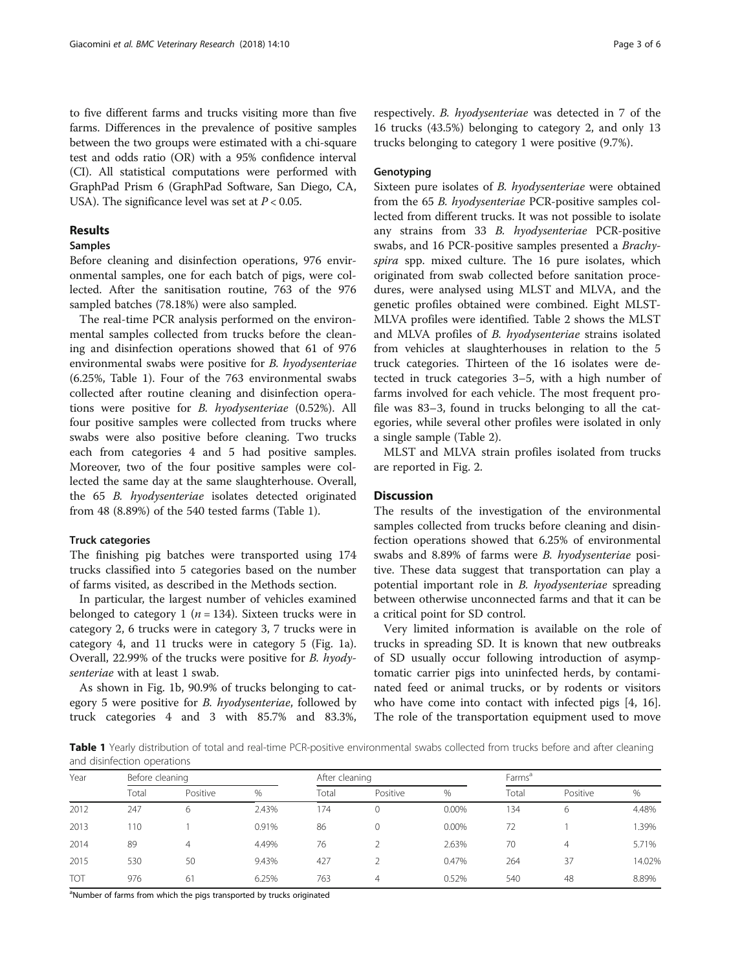to five different farms and trucks visiting more than five farms. Differences in the prevalence of positive samples between the two groups were estimated with a chi-square test and odds ratio (OR) with a 95% confidence interval (CI). All statistical computations were performed with GraphPad Prism 6 (GraphPad Software, San Diego, CA, USA). The significance level was set at  $P < 0.05$ .

## Results

## Samples

Before cleaning and disinfection operations, 976 environmental samples, one for each batch of pigs, were collected. After the sanitisation routine, 763 of the 976 sampled batches (78.18%) were also sampled.

The real-time PCR analysis performed on the environmental samples collected from trucks before the cleaning and disinfection operations showed that 61 of 976 environmental swabs were positive for B. hyodysenteriae (6.25%, Table 1). Four of the 763 environmental swabs collected after routine cleaning and disinfection operations were positive for B. hyodysenteriae (0.52%). All four positive samples were collected from trucks where swabs were also positive before cleaning. Two trucks each from categories 4 and 5 had positive samples. Moreover, two of the four positive samples were collected the same day at the same slaughterhouse. Overall, the 65 B. hyodysenteriae isolates detected originated from 48 (8.89%) of the 540 tested farms (Table 1).

## Truck categories

The finishing pig batches were transported using 174 trucks classified into 5 categories based on the number of farms visited, as described in the Methods section.

In particular, the largest number of vehicles examined belonged to category 1 ( $n = 134$ ). Sixteen trucks were in category 2, 6 trucks were in category 3, 7 trucks were in category 4, and 11 trucks were in category 5 (Fig. [1a](#page-3-0)). Overall, 22.99% of the trucks were positive for B. hyodysenteriae with at least 1 swab.

As shown in Fig. [1b,](#page-3-0) 90.9% of trucks belonging to category 5 were positive for B. hyodysenteriae, followed by truck categories 4 and 3 with 85.7% and 83.3%, respectively. B. hyodysenteriae was detected in 7 of the 16 trucks (43.5%) belonging to category 2, and only 13 trucks belonging to category 1 were positive (9.7%).

## Genotyping

Sixteen pure isolates of B. hyodysenteriae were obtained from the 65 B. hyodysenteriae PCR-positive samples collected from different trucks. It was not possible to isolate any strains from 33 B. hyodysenteriae PCR-positive swabs, and 16 PCR-positive samples presented a Brachyspira spp. mixed culture. The 16 pure isolates, which originated from swab collected before sanitation procedures, were analysed using MLST and MLVA, and the genetic profiles obtained were combined. Eight MLST-MLVA profiles were identified. Table [2](#page-3-0) shows the MLST and MLVA profiles of B. hyodysenteriae strains isolated from vehicles at slaughterhouses in relation to the 5 truck categories. Thirteen of the 16 isolates were detected in truck categories 3–5, with a high number of farms involved for each vehicle. The most frequent profile was 83–3, found in trucks belonging to all the categories, while several other profiles were isolated in only a single sample (Table [2](#page-3-0)).

MLST and MLVA strain profiles isolated from trucks are reported in Fig. [2](#page-4-0).

## **Discussion**

The results of the investigation of the environmental samples collected from trucks before cleaning and disinfection operations showed that 6.25% of environmental swabs and 8.89% of farms were B. hyodysenteriae positive. These data suggest that transportation can play a potential important role in B. hyodysenteriae spreading between otherwise unconnected farms and that it can be a critical point for SD control.

Very limited information is available on the role of trucks in spreading SD. It is known that new outbreaks of SD usually occur following introduction of asymptomatic carrier pigs into uninfected herds, by contaminated feed or animal trucks, or by rodents or visitors who have come into contact with infected pigs [\[4](#page-5-0), [16](#page-5-0)]. The role of the transportation equipment used to move

Table 1 Yearly distribution of total and real-time PCR-positive environmental swabs collected from trucks before and after cleaning and disinfection operations

| Year | Before cleaning |          |       | After cleaning |          |       | Farms <sup>a</sup> |          |        |  |  |
|------|-----------------|----------|-------|----------------|----------|-------|--------------------|----------|--------|--|--|
|      | Total           | Positive | %     | Total          | Positive | %     | Total              | Positive | %      |  |  |
| 2012 | 247             | 6        | 2.43% | 174            | 0        | 0.00% | 134                | 6        | 4.48%  |  |  |
| 2013 | 10              |          | 0.91% | 86             |          | 0.00% |                    |          | .39%   |  |  |
| 2014 | 89              | 4        | 4.49% | 76             |          | 2.63% | 70                 | 4        | 5.71%  |  |  |
| 2015 | 530             | 50       | 9.43% | 427            |          | 0.47% | 264                | 37       | 14.02% |  |  |
| тот  | 976             | 61       | 6.25% | 763            | 4        | 0.52% | 540                | 48       | 8.89%  |  |  |

<sup>a</sup>Number of farms from which the pigs transported by trucks originated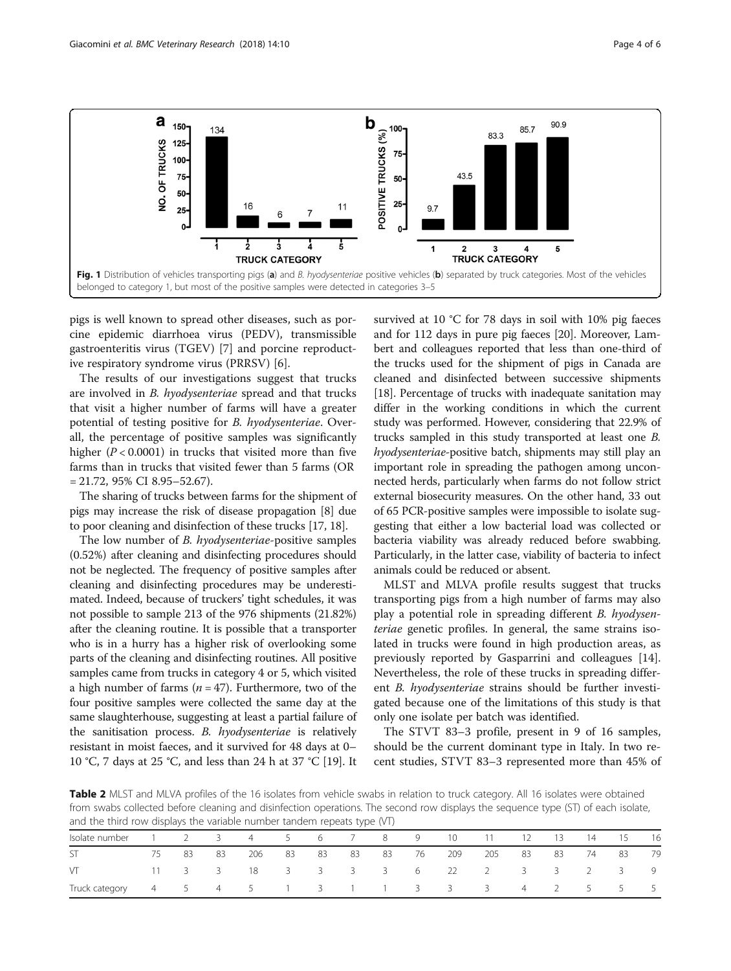<span id="page-3-0"></span>

pigs is well known to spread other diseases, such as porcine epidemic diarrhoea virus (PEDV), transmissible gastroenteritis virus (TGEV) [[7\]](#page-5-0) and porcine reproductive respiratory syndrome virus (PRRSV) [\[6](#page-5-0)].

The results of our investigations suggest that trucks are involved in B. hyodysenteriae spread and that trucks that visit a higher number of farms will have a greater potential of testing positive for B. hyodysenteriae. Overall, the percentage of positive samples was significantly higher  $(P < 0.0001)$  in trucks that visited more than five farms than in trucks that visited fewer than 5 farms (OR = 21.72, 95% CI 8.95–52.67).

The sharing of trucks between farms for the shipment of pigs may increase the risk of disease propagation [\[8](#page-5-0)] due to poor cleaning and disinfection of these trucks [[17](#page-5-0), [18](#page-5-0)].

The low number of B. hyodysenteriae-positive samples (0.52%) after cleaning and disinfecting procedures should not be neglected. The frequency of positive samples after cleaning and disinfecting procedures may be underestimated. Indeed, because of truckers' tight schedules, it was not possible to sample 213 of the 976 shipments (21.82%) after the cleaning routine. It is possible that a transporter who is in a hurry has a higher risk of overlooking some parts of the cleaning and disinfecting routines. All positive samples came from trucks in category 4 or 5, which visited a high number of farms ( $n = 47$ ). Furthermore, two of the four positive samples were collected the same day at the same slaughterhouse, suggesting at least a partial failure of the sanitisation process. B. hyodysenteriae is relatively resistant in moist faeces, and it survived for 48 days at 0– 10 °C, 7 days at 25 °C, and less than 24 h at 37 °C [\[19\]](#page-5-0). It

survived at 10 °C for 78 days in soil with 10% pig faeces and for 112 days in pure pig faeces [[20](#page-5-0)]. Moreover, Lambert and colleagues reported that less than one-third of the trucks used for the shipment of pigs in Canada are cleaned and disinfected between successive shipments [[18](#page-5-0)]. Percentage of trucks with inadequate sanitation may differ in the working conditions in which the current study was performed. However, considering that 22.9% of trucks sampled in this study transported at least one B. hyodysenteriae-positive batch, shipments may still play an important role in spreading the pathogen among unconnected herds, particularly when farms do not follow strict external biosecurity measures. On the other hand, 33 out of 65 PCR-positive samples were impossible to isolate suggesting that either a low bacterial load was collected or bacteria viability was already reduced before swabbing. Particularly, in the latter case, viability of bacteria to infect animals could be reduced or absent.

MLST and MLVA profile results suggest that trucks transporting pigs from a high number of farms may also play a potential role in spreading different B. hyodysenteriae genetic profiles. In general, the same strains isolated in trucks were found in high production areas, as previously reported by Gasparrini and colleagues [\[14](#page-5-0)]. Nevertheless, the role of these trucks in spreading different B. hyodysenteriae strains should be further investigated because one of the limitations of this study is that only one isolate per batch was identified.

The STVT 83–3 profile, present in 9 of 16 samples, should be the current dominant type in Italy. In two recent studies, STVT 83–3 represented more than 45% of

Table 2 MLST and MLVA profiles of the 16 isolates from vehicle swabs in relation to truck category. All 16 isolates were obtained from swabs collected before cleaning and disinfection operations. The second row displays the sequence type (ST) of each isolate, and the third row displays the variable number tandem repeats type (VT)

| Isolate number |  |          |  |     |  |  |  | 3 4 5 6 7 8 9 10 11 12 13 14 15 16 |                    |  |                |
|----------------|--|----------|--|-----|--|--|--|------------------------------------|--------------------|--|----------------|
| ST.            |  | 75 83 83 |  | 206 |  |  |  | 83 83 83 83 76 209                 | 205 83 83 74 83 79 |  |                |
| VT -           |  |          |  |     |  |  |  | 11 3 3 18 3 3 3 3 6 22 2 3 3 2 3 9 |                    |  |                |
| Truck category |  |          |  |     |  |  |  | 4 5 4 5 1 3 1 1 3 3 3 4 2 5 5      |                    |  | 5 <sup>5</sup> |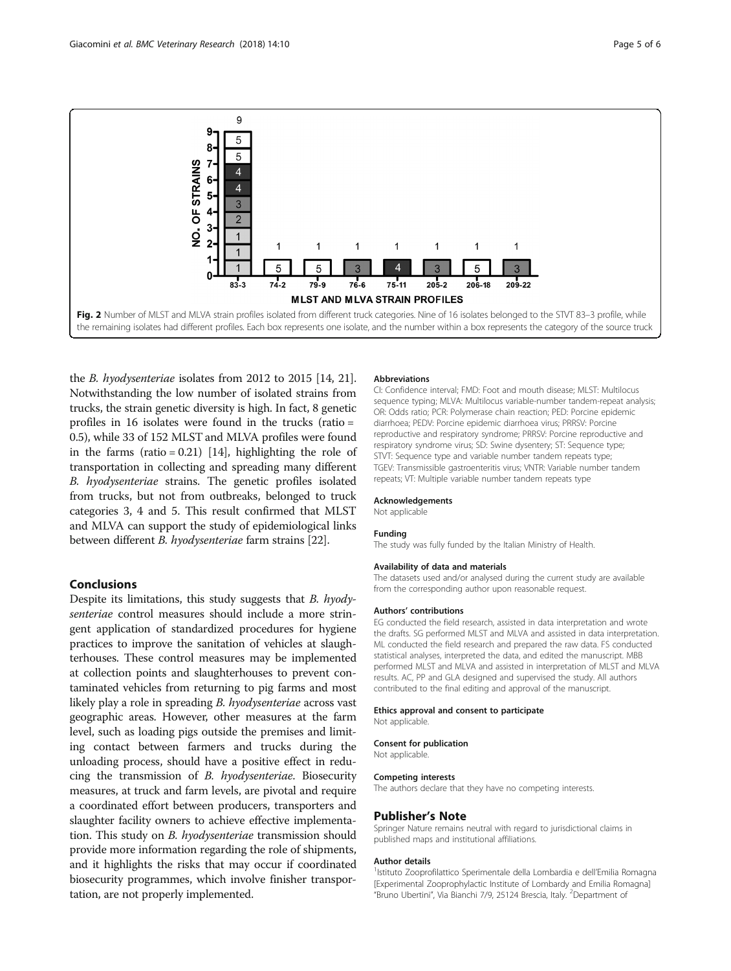<span id="page-4-0"></span>

the B. hyodysenteriae isolates from 2012 to 2015 [[14](#page-5-0), [21](#page-5-0)]. Notwithstanding the low number of isolated strains from trucks, the strain genetic diversity is high. In fact, 8 genetic profiles in 16 isolates were found in the trucks (ratio = 0.5), while 33 of 152 MLST and MLVA profiles were found in the farms (ratio =  $0.21$ ) [[14](#page-5-0)], highlighting the role of transportation in collecting and spreading many different B. hyodysenteriae strains. The genetic profiles isolated from trucks, but not from outbreaks, belonged to truck categories 3, 4 and 5. This result confirmed that MLST and MLVA can support the study of epidemiological links between different B. hyodysenteriae farm strains [[22](#page-5-0)].

## Conclusions

Despite its limitations, this study suggests that B. hyodysenteriae control measures should include a more stringent application of standardized procedures for hygiene practices to improve the sanitation of vehicles at slaughterhouses. These control measures may be implemented at collection points and slaughterhouses to prevent contaminated vehicles from returning to pig farms and most likely play a role in spreading B. hyodysenteriae across vast geographic areas. However, other measures at the farm level, such as loading pigs outside the premises and limiting contact between farmers and trucks during the unloading process, should have a positive effect in reducing the transmission of B. hyodysenteriae. Biosecurity measures, at truck and farm levels, are pivotal and require a coordinated effort between producers, transporters and slaughter facility owners to achieve effective implementation. This study on B. hyodysenteriae transmission should provide more information regarding the role of shipments, and it highlights the risks that may occur if coordinated biosecurity programmes, which involve finisher transportation, are not properly implemented.

#### Abbreviations

CI: Confidence interval; FMD: Foot and mouth disease; MLST: Multilocus sequence typing; MLVA: Multilocus variable-number tandem-repeat analysis; OR: Odds ratio; PCR: Polymerase chain reaction; PED: Porcine epidemic diarrhoea; PEDV: Porcine epidemic diarrhoea virus; PRRSV: Porcine reproductive and respiratory syndrome; PRRSV: Porcine reproductive and respiratory syndrome virus; SD: Swine dysentery; ST: Sequence type; STVT: Sequence type and variable number tandem repeats type; TGEV: Transmissible gastroenteritis virus; VNTR: Variable number tandem repeats; VT: Multiple variable number tandem repeats type

#### Acknowledgements

Not applicable

#### Funding

The study was fully funded by the Italian Ministry of Health.

#### Availability of data and materials

The datasets used and/or analysed during the current study are available from the corresponding author upon reasonable request.

#### Authors' contributions

EG conducted the field research, assisted in data interpretation and wrote the drafts. SG performed MLST and MLVA and assisted in data interpretation. ML conducted the field research and prepared the raw data. FS conducted statistical analyses, interpreted the data, and edited the manuscript. MBB performed MLST and MLVA and assisted in interpretation of MLST and MLVA results. AC, PP and GLA designed and supervised the study. All authors contributed to the final editing and approval of the manuscript.

#### Ethics approval and consent to participate

Not applicable.

#### Consent for publication

Not applicable.

#### Competing interests

The authors declare that they have no competing interests.

#### Publisher's Note

Springer Nature remains neutral with regard to jurisdictional claims in published maps and institutional affiliations.

#### Author details

<sup>1</sup>Istituto Zooprofilattico Sperimentale della Lombardia e dell'Emilia Romagna [Experimental Zooprophylactic Institute of Lombardy and Emilia Romagna] "Bruno Ubertini", Via Bianchi 7/9, 25124 Brescia, Italy. <sup>2</sup>Department of